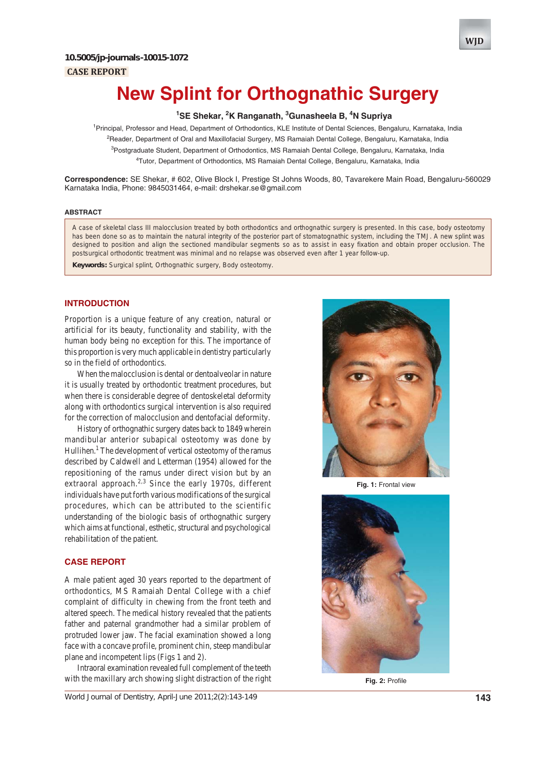### **CASE REPORT**



# **New Splint for Orthognathic Surgery**

# <sup>1</sup>SE Shekar, <sup>2</sup>K Ranganath, <sup>3</sup>Gunasheela B, <sup>4</sup>N Supriya

<sup>1</sup> Principal, Professor and Head, Department of Orthodontics, KLE Institute of Dental Sciences, Bengaluru, Karnataka, India <sup>2</sup>Reader, Department of Oral and Maxillofacial Surgery, MS Ramaiah Dental College, Bengaluru, Karnataka, India <sup>3</sup>Postgraduate Student, Department of Orthodontics, MS Ramaiah Dental College, Bengaluru, Karnataka, India 4 Tutor, Department of Orthodontics, MS Ramaiah Dental College, Bengaluru, Karnataka, India

**Correspondence:** SE Shekar, # 602, Olive Block I, Prestige St Johns Woods, 80, Tavarekere Main Road, Bengaluru-560029 Karnataka India, Phone: 9845031464, e-mail: drshekar.se@gmail.com

#### **ABSTRACT**

A case of skeletal class III malocclusion treated by both orthodontics and orthognathic surgery is presented. In this case, body osteotomy has been done so as to maintain the natural integrity of the posterior part of stomatognathic system, including the TMJ. A new splint was designed to position and align the sectioned mandibular segments so as to assist in easy fixation and obtain proper occlusion. The postsurgical orthodontic treatment was minimal and no relapse was observed even after 1 year follow-up.

**Keywords:** Surgical splint, Orthognathic surgery, Body osteotomy.

# **INTRODUCTION**

Proportion is a unique feature of any creation, natural or artificial for its beauty, functionality and stability, with the human body being no exception for this. The importance of this proportion is very much applicable in dentistry particularly so in the field of orthodontics.

When the malocclusion is dental or dentoalveolar in nature it is usually treated by orthodontic treatment procedures, but when there is considerable degree of dentoskeletal deformity along with orthodontics surgical intervention is also required for the correction of malocclusion and dentofacial deformity.

History of orthognathic surgery dates back to 1849 wherein mandibular anterior subapical osteotomy was done by Hullihen.<sup>1</sup> The development of vertical osteotomy of the ramus described by Caldwell and Letterman (1954) allowed for the repositioning of the ramus under direct vision but by an extraoral approach.<sup>2,3</sup> Since the early 1970s, different individuals have put forth various modifications of the surgical procedures, which can be attributed to the scientific understanding of the biologic basis of orthognathic surgery which aims at functional, esthetic, structural and psychological rehabilitation of the patient.

### **CASE REPORT**

A male patient aged 30 years reported to the department of orthodontics, MS Ramaiah Dental College with a chief complaint of difficulty in chewing from the front teeth and altered speech. The medical history revealed that the patients father and paternal grandmother had a similar problem of protruded lower jaw. The facial examination showed a long face with a concave profile, prominent chin, steep mandibular plane and incompetent lips (Figs 1 and 2).

Intraoral examination revealed full complement of the teeth with the maxillary arch showing slight distraction of the right

*World Journal of Dentistry, April-June 2011;2(2):143-149* **143**



**Fig. 1:** Frontal view



**Fig. 2:** Profile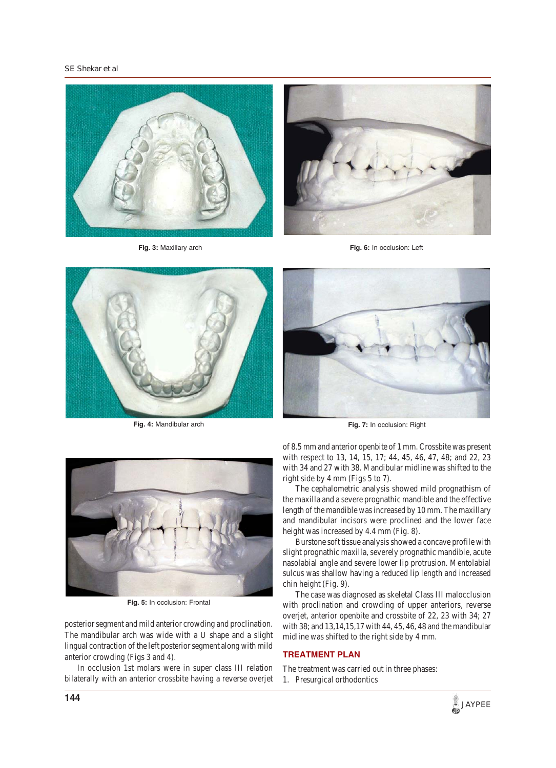*SE Shekar et al*



**Fig. 3:** Maxillary arch





**Fig. 4:** Mandibular arch



**Fig. 7:** In occlusion: Right



**Fig. 5:** In occlusion: Frontal

posterior segment and mild anterior crowding and proclination. The mandibular arch was wide with a U shape and a slight lingual contraction of the left posterior segment along with mild anterior crowding (Figs 3 and 4).

In occlusion 1st molars were in super class III relation bilaterally with an anterior crossbite having a reverse overjet of 8.5 mm and anterior openbite of 1 mm. Crossbite was present with respect to 13, 14, 15, 17; 44, 45, 46, 47, 48; and 22, 23 with 34 and 27 with 38. Mandibular midline was shifted to the right side by 4 mm (Figs 5 to 7).

The cephalometric analysis showed mild prognathism of the maxilla and a severe prognathic mandible and the effective length of the mandible was increased by 10 mm. The maxillary and mandibular incisors were proclined and the lower face height was increased by 4.4 mm (Fig. 8).

Burstone soft tissue analysis showed a concave profile with slight prognathic maxilla, severely prognathic mandible, acute nasolabial angle and severe lower lip protrusion. Mentolabial sulcus was shallow having a reduced lip length and increased chin height (Fig. 9).

The case was diagnosed as skeletal Class III malocclusion with proclination and crowding of upper anteriors, reverse overjet, anterior openbite and crossbite of 22, 23 with 34; 27 with 38; and 13,14,15,17 with 44, 45, 46, 48 and the mandibular midline was shifted to the right side by 4 mm.

#### **TREATMENT PLAN**

- The treatment was carried out in three phases:
- 1. Presurgical orthodontics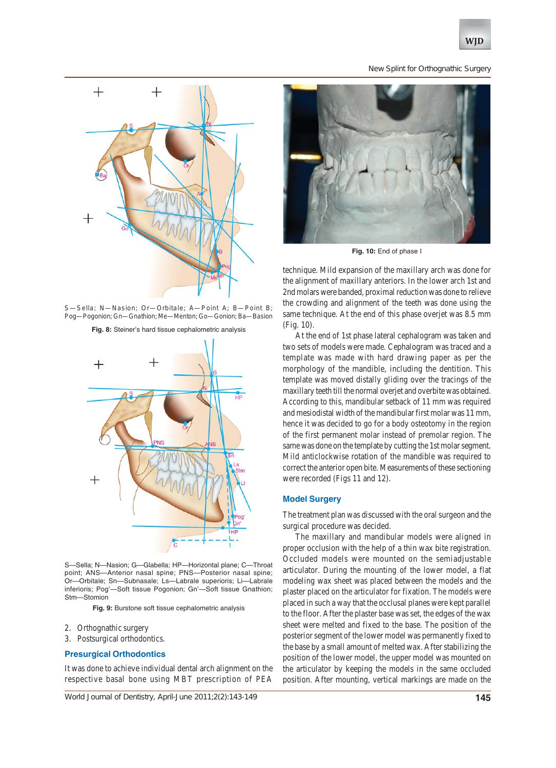#### *New Splint for Orthognathic Surgery*



S—Sella; N—Nasion; Or—Orbitale; A—Point A; B—Point B; Pog—Pogonion; Gn—Gnathion; Me—Menton; Go—Gonion; Ba—Basion

**Fig. 8:** Steiner's hard tissue cephalometric analysis



S—Sella; N—Nasion; G—Glabella; HP—Horizontal plane; C—Throat point; ANS—Anterior nasal spine; PNS—Posterior nasal spine; Or—Orbitale; Sn—Subnasale; Ls—Labrale superioris; Li—Labrale inferioris; Pog'—Soft tissue Pogonion; Gn'—Soft tissue Gnathion; Stm—Stomion

**Fig. 9:** Burstone soft tissue cephalometric analysis

- 2. Orthognathic surgery
- 3. Postsurgical orthodontics.

#### **Presurgical Orthodontics**

It was done to achieve individual dental arch alignment on the respective basal bone using MBT prescription of PEA



**Fig. 10:** End of phase I

technique. Mild expansion of the maxillary arch was done for the alignment of maxillary anteriors. In the lower arch 1st and 2nd molars were banded, proximal reduction was done to relieve the crowding and alignment of the teeth was done using the same technique. At the end of this phase overjet was 8.5 mm (Fig. 10).

At the end of 1st phase lateral cephalogram was taken and two sets of models were made. Cephalogram was traced and a template was made with hard drawing paper as per the morphology of the mandible, including the dentition. This template was moved distally gliding over the tracings of the maxillary teeth till the normal overjet and overbite was obtained. According to this, mandibular setback of 11 mm was required and mesiodistal width of the mandibular first molar was 11 mm, hence it was decided to go for a body osteotomy in the region of the first permanent molar instead of premolar region. The same was done on the template by cutting the 1st molar segment. Mild anticlockwise rotation of the mandible was required to correct the anterior open bite. Measurements of these sectioning were recorded (Figs 11 and 12).

### **Model Surgery**

The treatment plan was discussed with the oral surgeon and the surgical procedure was decided.

The maxillary and mandibular models were aligned in proper occlusion with the help of a thin wax bite registration. Occluded models were mounted on the semiadjustable articulator. During the mounting of the lower model, a flat modeling wax sheet was placed between the models and the plaster placed on the articulator for fixation. The models were placed in such a way that the occlusal planes were kept parallel to the floor. After the plaster base was set, the edges of the wax sheet were melted and fixed to the base. The position of the posterior segment of the lower model was permanently fixed to the base by a small amount of melted wax. After stabilizing the position of the lower model, the upper model was mounted on the articulator by keeping the models in the same occluded position. After mounting, vertical markings are made on the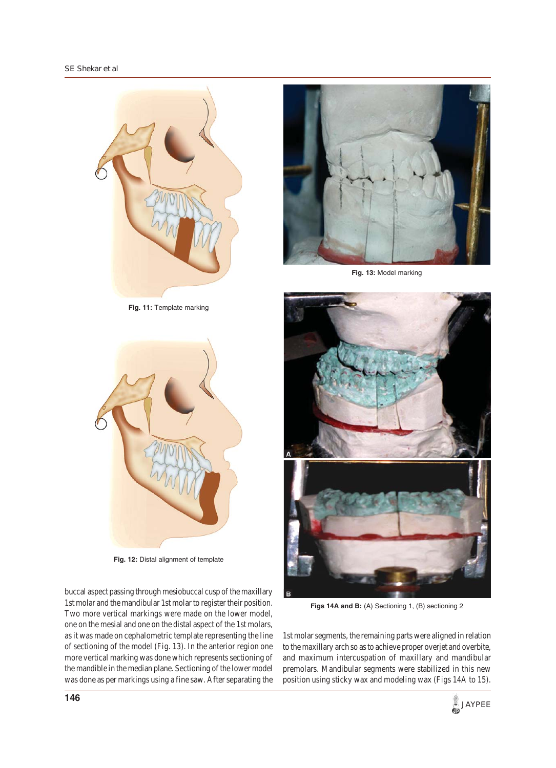

**Fig. 11:** Template marking



**Fig. 13:** Model marking



**Fig. 12:** Distal alignment of template

buccal aspect passing through mesiobuccal cusp of the maxillary 1st molar and the mandibular 1st molar to register their position. Two more vertical markings were made on the lower model, one on the mesial and one on the distal aspect of the 1st molars, as it was made on cephalometric template representing the line of sectioning of the model (Fig. 13). In the anterior region one more vertical marking was done which represents sectioning of the mandible in the median plane. Sectioning of the lower model was done as per markings using a fine saw. After separating the



**Figs 14A and B:** (A) Sectioning 1, (B) sectioning 2

1st molar segments, the remaining parts were aligned in relation to the maxillary arch so as to achieve proper overjet and overbite, and maximum intercuspation of maxillary and mandibular premolars. Mandibular segments were stabilized in this new position using sticky wax and modeling wax (Figs 14A to 15).

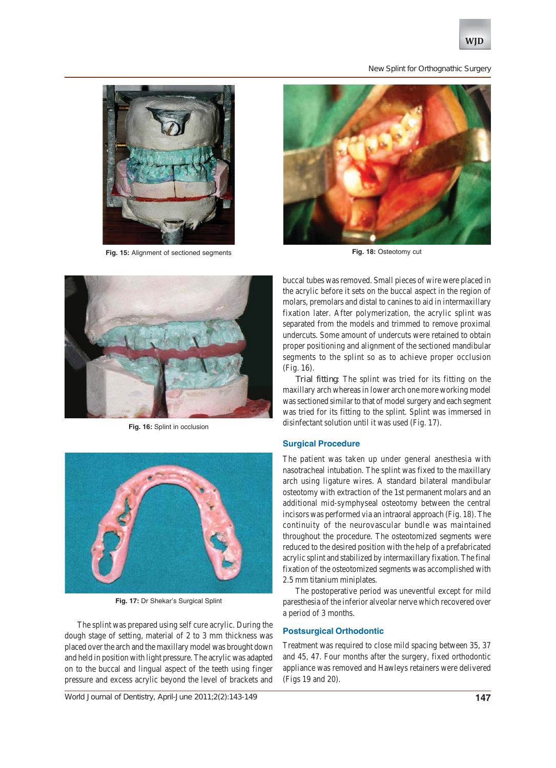

#### *New Splint for Orthognathic Surgery*



**Fig. 15:** Alignment of sectioned segments



**Fig. 16:** Splint in occlusion



**Fig. 17:** Dr Shekar's Surgical Splint

The splint was prepared using self cure acrylic. During the dough stage of setting, material of 2 to 3 mm thickness was placed over the arch and the maxillary model was brought down and held in position with light pressure. The acrylic was adapted on to the buccal and lingual aspect of the teeth using finger pressure and excess acrylic beyond the level of brackets and

*World Journal of Dentistry, April-June 2011;2(2):143-149* **147**



**Fig. 18:** Osteotomy cut

buccal tubes was removed. Small pieces of wire were placed in the acrylic before it sets on the buccal aspect in the region of molars, premolars and distal to canines to aid in intermaxillary fixation later. After polymerization, the acrylic splint was separated from the models and trimmed to remove proximal undercuts. Some amount of undercuts were retained to obtain proper positioning and alignment of the sectioned mandibular segments to the splint so as to achieve proper occlusion (Fig. 16).

*Trial fitting*: The splint was tried for its fitting on the maxillary arch whereas in lower arch one more working model was sectioned similar to that of model surgery and each segment was tried for its fitting to the splint. Splint was immersed in disinfectant solution until it was used (Fig. 17).

#### **Surgical Procedure**

The patient was taken up under general anesthesia with nasotracheal intubation. The splint was fixed to the maxillary arch using ligature wires. A standard bilateral mandibular osteotomy with extraction of the 1st permanent molars and an additional mid-symphyseal osteotomy between the central incisors was performed via an intraoral approach (Fig. 18). The continuity of the neurovascular bundle was maintained throughout the procedure. The osteotomized segments were reduced to the desired position with the help of a prefabricated acrylic splint and stabilized by intermaxillary fixation. The final fixation of the osteotomized segments was accomplished with 2.5 mm titanium miniplates.

The postoperative period was uneventful except for mild paresthesia of the inferior alveolar nerve which recovered over a period of 3 months.

# **Postsurgical Orthodontic**

Treatment was required to close mild spacing between 35, 37 and 45, 47. Four months after the surgery, fixed orthodontic appliance was removed and Hawleys retainers were delivered (Figs 19 and 20).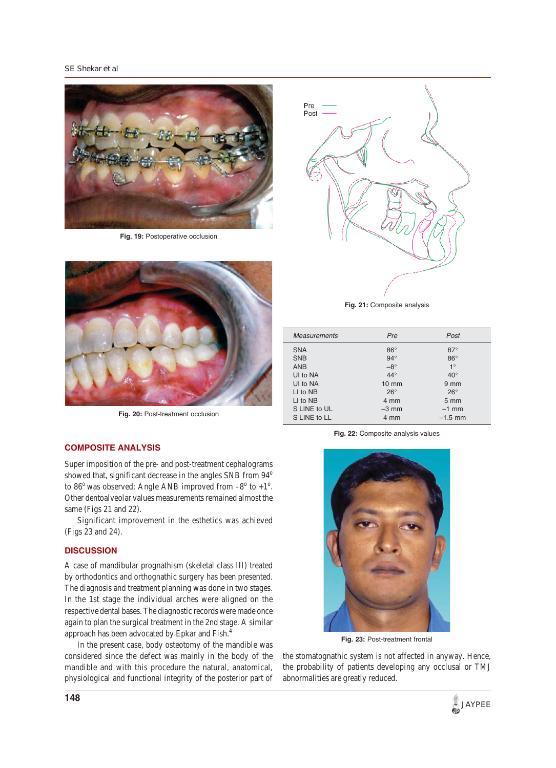#### *SE Shekar et al*



**Fig. 19:** Postoperative occlusion



Fig. 20: Post-treatment occlusion

#### **COMPOSITE ANALYSIS**

Super imposition of the pre- and post-treatment cephalograms showed that, significant decrease in the angles SNB from 94<sup>o</sup> to  $86^{\circ}$  was observed; Angle ANB improved from  $-8^{\circ}$  to  $+1^{\circ}$ . Other dentoalveolar values measurements remained almost the same (Figs 21 and 22).

Significant improvement in the esthetics was achieved (Figs 23 and 24).

#### **DISCUSSION**

A case of mandibular prognathism (skeletal class III) treated by orthodontics and orthognathic surgery has been presented. The diagnosis and treatment planning was done in two stages. In the 1st stage the individual arches were aligned on the respective dental bases. The diagnostic records were made once again to plan the surgical treatment in the 2nd stage. A similar approach has been advocated by Epkar and Fish.4

In the present case, body osteotomy of the mandible was considered since the defect was mainly in the body of the mandible and with this procedure the natural, anatomical, physiological and functional integrity of the posterior part of



| <b>Measurements</b> | Pre             | Post             |
|---------------------|-----------------|------------------|
| <b>SNA</b>          | $86^\circ$      | $87^\circ$       |
| <b>SNB</b>          | $94^\circ$      | $86^\circ$       |
| <b>ANB</b>          | $-8^\circ$      | $1^{\circ}$      |
| UI to NA            | $44^\circ$      | $40^{\circ}$     |
| UI to NA            | $10 \text{ mm}$ | $9 \, \text{mm}$ |
| LI to NB            | $26^{\circ}$    | $26^{\circ}$     |
| LI to NB            | 4 mm            | $5 \, \text{mm}$ |
| S LINE to UL        | $-3$ mm         | $-1$ mm          |
| S LINE to LL        | 4 mm            | $-1.5$ mm        |

**Fig. 22:** Composite analysis values



**Fig. 23:** Post-treatment frontal

the stomatognathic system is not affected in anyway. Hence, the probability of patients developing any occlusal or TMJ abnormalities are greatly reduced.